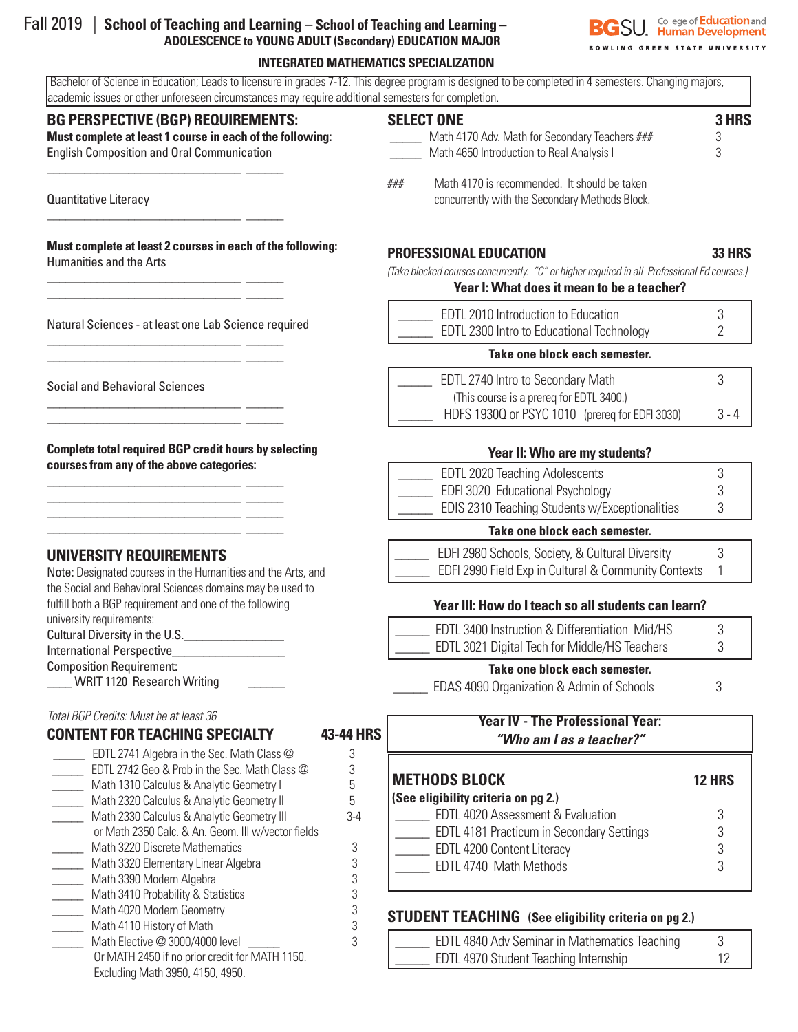## Fall 2019 | **School of Teaching and Learning – School of Teaching and Learning – ADOLESCENCE to YOUNG ADULT (Secondary) EDUCATION MAJOR**

#### **INTEGRATED MATHEMATICS SPECIALIZATION**

 Bachelor of Science in Education; Leads to licensure in grades 7-12. This degree program is designed to be completed in 4 semesters. Changing majors, academic issues or other unforeseen circumstances may require additional semesters for completion.

#### **BG PERSPECTIVE (BGP) REQUIREMENTS:**

\_\_\_\_\_\_\_\_\_\_\_\_\_\_\_\_\_\_\_\_\_\_\_\_\_\_\_\_\_\_\_ \_\_\_\_\_\_

\_\_\_\_\_\_\_\_\_\_\_\_\_\_\_\_\_\_\_\_\_\_\_\_\_\_\_\_\_\_\_ \_\_\_\_\_\_

\_\_\_\_\_\_\_\_\_\_\_\_\_\_\_\_\_\_\_\_\_\_\_\_\_\_\_\_\_\_\_ \_\_\_\_\_\_ \_\_\_\_\_\_\_\_\_\_\_\_\_\_\_\_\_\_\_\_\_\_\_\_\_\_\_\_\_\_\_ \_\_\_\_\_\_

\_\_\_\_\_\_\_\_\_\_\_\_\_\_\_\_\_\_\_\_\_\_\_\_\_\_\_\_\_\_\_ \_\_\_\_\_\_ \_\_\_\_\_\_\_\_\_\_\_\_\_\_\_\_\_\_\_\_\_\_\_\_\_\_\_\_\_\_\_ \_\_\_\_\_\_

\_\_\_\_\_\_\_\_\_\_\_\_\_\_\_\_\_\_\_\_\_\_\_\_\_\_\_\_\_\_\_ \_\_\_\_\_\_ \_\_\_\_\_\_\_\_\_\_\_\_\_\_\_\_\_\_\_\_\_\_\_\_\_\_\_\_\_\_\_ \_\_\_\_\_\_

\_\_\_\_\_\_\_\_\_\_\_\_\_\_\_\_\_\_\_\_\_\_\_\_\_\_\_\_\_\_\_ \_\_\_\_\_\_ \_\_\_\_\_\_\_\_\_\_\_\_\_\_\_\_\_\_\_\_\_\_\_\_\_\_\_\_\_\_\_ \_\_\_\_\_\_ \_\_\_\_\_\_\_\_\_\_\_\_\_\_\_\_\_\_\_\_\_\_\_\_\_\_\_\_\_\_\_ \_\_\_\_\_\_ \_\_\_\_\_\_\_\_\_\_\_\_\_\_\_\_\_\_\_\_\_\_\_\_\_\_\_\_\_\_\_ \_\_\_\_\_\_

**Must complete at least 1 course in each of the following:**  English Composition and Oral Communication

# **SELECT ONE 3 HRS**

 \_\_\_\_\_ Math 4170 Adv. Math for Secondary Teachers ### 3 \_\_\_\_\_ Math 4650 Introduction to Real Analysis I 3

Quantitative Literacy

**Must complete at least 2 courses in each of the following:** Humanities and the Arts

Natural Sciences - at least one Lab Science required

Social and Behavioral Sciences

**Complete total required BGP credit hours by selecting courses from any of the above categories:**

## **UNIVERSITY REQUIREMENTS**

Note: Designated courses in the Humanities and the Arts, and the Social and Behavioral Sciences domains may be used to fulfill both a BGP requirement and one of the following university requirements: Cultural Diversity in the U.S.

International Perspective

Composition Requirement:

\_\_\_\_ WRIT 1120 Research Writing \_\_\_\_\_\_

## *Total BGP Credits: Must be at least 36*

## **CONTENT FOR TEACHING SPECIALTY 43-44 HRS**

| EDTL 2741 Algebra in the Sec. Math Class @         |     |
|----------------------------------------------------|-----|
| EDTL 2742 Geo & Prob in the Sec. Math Class @      |     |
| Math 1310 Calculus & Analytic Geometry I           | 5   |
| Math 2320 Calculus & Analytic Geometry II          | 5   |
| Math 2330 Calculus & Analytic Geometry III         | 3-4 |
| or Math 2350 Calc. & An. Geom. III w/vector fields |     |
| Math 3220 Discrete Mathematics                     |     |
| Math 3320 Elementary Linear Algebra                |     |
| Math 3390 Modern Algebra                           |     |
| Math 3410 Probability & Statistics                 |     |
| Math 4020 Modern Geometry                          |     |
| Math 4110 History of Math                          |     |
| Math Elective @ 3000/4000 level                    |     |
| Or MATH 2450 if no prior credit for MATH 1150.     |     |
| Excluding Math 3950, 4150, 4950.                   |     |

| ### | Math 4170 is recommended. It should be taken<br>concurrently with the Secondary Methods Block. |
|-----|------------------------------------------------------------------------------------------------|
|     |                                                                                                |

#### **PROFESSIONAL EDUCATION 33 HRS**

*(Take blocked courses concurrently. "C" or higher required in all Professional Ed courses.)* **Year I: What does it mean to be a teacher?** 

| EDTL 2010 Introduction to Education<br>EDTL 2300 Intro to Educational Technology |  |
|----------------------------------------------------------------------------------|--|
|----------------------------------------------------------------------------------|--|

#### **Take one block each semester.**

| EDTL 2740 Intro to Secondary Math              |         |
|------------------------------------------------|---------|
| (This course is a prereg for EDTL 3400.)       |         |
| HDFS 1930Q or PSYC 1010 (prereq for EDFI 3030) | $3 - 4$ |

#### **Year II: Who are my students?**

| EDTL 2020 Teaching Adolescents                 |  |
|------------------------------------------------|--|
| EDFI 3020 Educational Psychology               |  |
| EDIS 2310 Teaching Students w/Exceptionalities |  |
|                                                |  |

## **Take one block each semester.**

| EDFI 2980 Schools, Society, & Cultural Diversity     |  |
|------------------------------------------------------|--|
| EDFI 2990 Field Exp in Cultural & Community Contexts |  |

## **Year III: How do I teach so all students can learn?**

| Take one block each semester.                  |  |  |
|------------------------------------------------|--|--|
| EDTL 3021 Digital Tech for Middle/HS Teachers  |  |  |
| EDTL 3400 Instruction & Differentiation Mid/HS |  |  |

EDAS 4090 Organization & Admin of Schools 3

#### **Year IV - The Professional Year:** *"Who am I as a teacher?"*

| <b>METHODS BLOCK</b><br>(See eligibility criteria on pg 2.) | <b>12 HRS</b> |
|-------------------------------------------------------------|---------------|
| EDTL 4020 Assessment & Evaluation                           |               |
| EDTL 4181 Practicum in Secondary Settings                   |               |
| EDTL 4200 Content Literacy                                  |               |
| EDTL 4740 Math Methods                                      |               |

## **STUDENT TEACHING (See eligibility criteria on pg 2.)**

| EDTL 4840 Adv Seminar in Mathematics Teaching |  |
|-----------------------------------------------|--|
| EDTL 4970 Student Teaching Internship         |  |